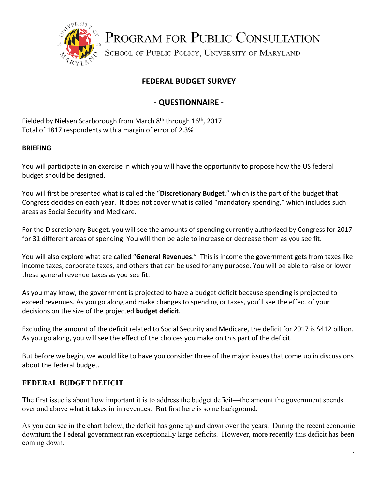

PROGRAM FOR PUBLIC CONSULTATION

SCHOOL OF PUBLIC POLICY, UNIVERSITY OF MARYLAND

# **FEDERAL BUDGET SURVEY**

## **‐ QUESTIONNAIRE ‐**

Fielded by Nielsen Scarborough from March  $8<sup>th</sup>$  through  $16<sup>th</sup>$ , 2017 Total of 1817 respondents with a margin of error of 2.3%

## **BRIEFING**

You will participate in an exercise in which you will have the opportunity to propose how the US federal budget should be designed.

You will first be presented what is called the "**Discretionary Budget**," which is the part of the budget that Congress decides on each year. It does not cover what is called "mandatory spending," which includes such areas as Social Security and Medicare.

For the Discretionary Budget, you will see the amounts of spending currently authorized by Congress for 2017 for 31 different areas of spending. You will then be able to increase or decrease them as you see fit.

You will also explore what are called "**General Revenues**." This is income the government gets from taxes like income taxes, corporate taxes, and others that can be used for any purpose. You will be able to raise or lower these general revenue taxes as you see fit.

As you may know, the government is projected to have a budget deficit because spending is projected to exceed revenues. As you go along and make changes to spending or taxes, you'll see the effect of your decisions on the size of the projected **budget deficit**.

Excluding the amount of the deficit related to Social Security and Medicare, the deficit for 2017 is \$412 billion. As you go along, you will see the effect of the choices you make on this part of the deficit.

But before we begin, we would like to have you consider three of the major issues that come up in discussions about the federal budget.

## **FEDERAL BUDGET DEFICIT**

The first issue is about how important it is to address the budget deficit—the amount the government spends over and above what it takes in in revenues. But first here is some background.

As you can see in the chart below, the deficit has gone up and down over the years. During the recent economic downturn the Federal government ran exceptionally large deficits. However, more recently this deficit has been coming down.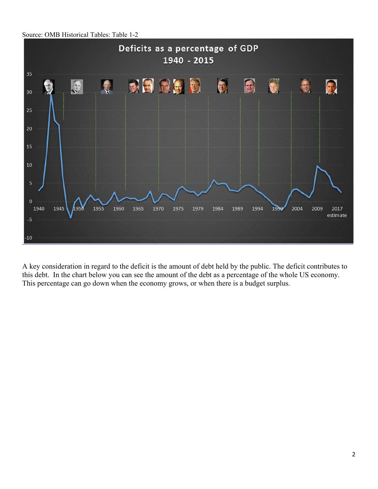Source: OMB Historical Tables: Table 1-2



A key consideration in regard to the deficit is the amount of debt held by the public. The deficit contributes to this debt. In the chart below you can see the amount of the debt as a percentage of the whole US economy. This percentage can go down when the economy grows, or when there is a budget surplus.

ļ.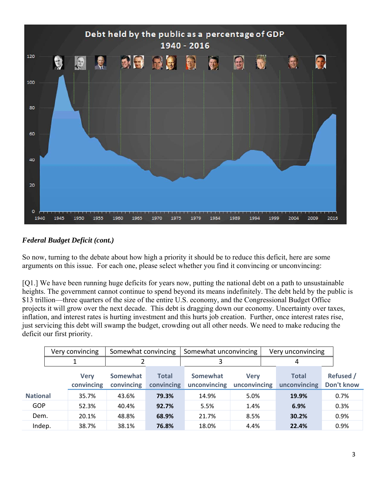

## *Federal Budget Deficit (cont.)*

So now, turning to the debate about how high a priority it should be to reduce this deficit, here are some arguments on this issue. For each one, please select whether you find it convincing or unconvincing:

[Q1.] We have been running huge deficits for years now, putting the national debt on a path to unsustainable heights. The government cannot continue to spend beyond its means indefinitely. The debt held by the public is \$13 trillion—three quarters of the size of the entire U.S. economy, and the Congressional Budget Office projects it will grow over the next decade. This debt is dragging down our economy. Uncertainty over taxes, inflation, and interest rates is hurting investment and this hurts job creation. Further, once interest rates rise, just servicing this debt will swamp the budget, crowding out all other needs. We need to make reducing the deficit our first priority.

|                 | Very convincing |                           | Somewhat convincing    |                            | Somewhat unconvincing    |                             |  | Very unconvincing            |  |                         |
|-----------------|-----------------|---------------------------|------------------------|----------------------------|--------------------------|-----------------------------|--|------------------------------|--|-------------------------|
|                 |                 |                           |                        |                            |                          | 4                           |  |                              |  |                         |
|                 |                 | <b>Verv</b><br>convincing | Somewhat<br>convincing | <b>Total</b><br>convincing | Somewhat<br>unconvincing | <b>Verv</b><br>unconvincing |  | <b>Total</b><br>unconvincing |  | Refused /<br>Don't know |
| <b>National</b> |                 | 35.7%                     | 43.6%                  | 79.3%                      | 14.9%                    | 5.0%                        |  | 19.9%                        |  | 0.7%                    |
| GOP             |                 | 52.3%                     | 40.4%                  | 92.7%                      | 5.5%                     | 1.4%                        |  | 6.9%                         |  | 0.3%                    |
| Dem.            |                 | 20.1%                     | 48.8%                  | 68.9%                      | 21.7%                    | 8.5%                        |  | 30.2%                        |  | 0.9%                    |
| Indep.          |                 | 38.7%                     | 38.1%                  | 76.8%                      | 18.0%                    | 4.4%                        |  | 22.4%                        |  | 0.9%                    |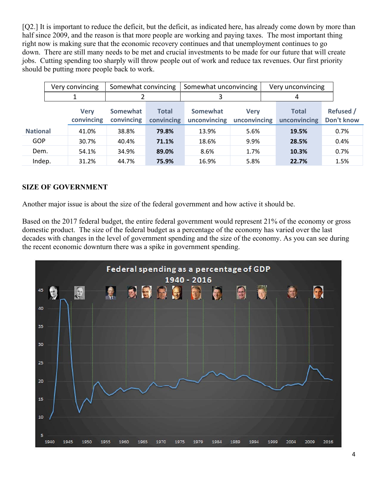[Q2.] It is important to reduce the deficit, but the deficit, as indicated here, has already come down by more than half since 2009, and the reason is that more people are working and paying taxes. The most important thing right now is making sure that the economic recovery continues and that unemployment continues to go down. There are still many needs to be met and crucial investments to be made for our future that will create jobs. Cutting spending too sharply will throw people out of work and reduce tax revenues. Our first priority should be putting more people back to work.

|                 | Very convincing |                           | Somewhat convincing    |                            | Somewhat unconvincing    |                             | Very unconvincing |                              |                                |
|-----------------|-----------------|---------------------------|------------------------|----------------------------|--------------------------|-----------------------------|-------------------|------------------------------|--------------------------------|
|                 |                 |                           |                        |                            | 3                        |                             | 4                 |                              |                                |
|                 |                 | <b>Verv</b><br>convincing | Somewhat<br>convincing | <b>Total</b><br>convincing | Somewhat<br>unconvincing | <b>Verv</b><br>unconvincing |                   | <b>Total</b><br>unconvincing | <b>Refused /</b><br>Don't know |
| <b>National</b> |                 | 41.0%                     | 38.8%                  | 79.8%                      | 13.9%                    | 5.6%                        |                   | 19.5%                        | 0.7%                           |
| GOP             |                 | 30.7%                     | 40.4%                  | 71.1%                      | 18.6%                    | 9.9%                        |                   | 28.5%                        | 0.4%                           |
| Dem.            |                 | 54.1%                     | 34.9%                  | 89.0%                      | 8.6%                     | 1.7%                        |                   | 10.3%                        | 0.7%                           |
| Indep.          |                 | 31.2%                     | 44.7%                  | 75.9%                      | 16.9%                    | 5.8%                        |                   | 22.7%                        | 1.5%                           |

### **SIZE OF GOVERNMENT**

Another major issue is about the size of the federal government and how active it should be.

Based on the 2017 federal budget, the entire federal government would represent 21% of the economy or gross domestic product. The size of the federal budget as a percentage of the economy has varied over the last decades with changes in the level of government spending and the size of the economy. As you can see during the recent economic downturn there was a spike in government spending.

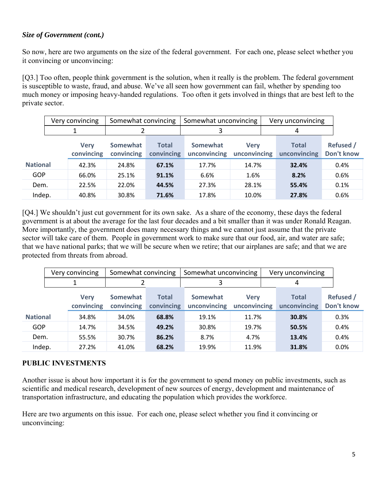#### *Size of Government (cont.)*

So now, here are two arguments on the size of the federal government. For each one, please select whether you it convincing or unconvincing:

[Q3.] Too often, people think government is the solution, when it really is the problem. The federal government is susceptible to waste, fraud, and abuse. We've all seen how government can fail, whether by spending too much money or imposing heavy-handed regulations. Too often it gets involved in things that are best left to the private sector.

|                 | Very convincing |                           | Somewhat convincing    |                            | Somewhat unconvincing           |                             |   | Very unconvincing            |                                |  |
|-----------------|-----------------|---------------------------|------------------------|----------------------------|---------------------------------|-----------------------------|---|------------------------------|--------------------------------|--|
|                 |                 |                           |                        |                            |                                 |                             | 4 |                              |                                |  |
|                 |                 | <b>Verv</b><br>convincing | Somewhat<br>convincing | <b>Total</b><br>convincing | <b>Somewhat</b><br>unconvincing | <b>Verv</b><br>unconvincing |   | <b>Total</b><br>unconvincing | <b>Refused /</b><br>Don't know |  |
| <b>National</b> |                 | 42.3%                     | 24.8%                  | 67.1%                      | 17.7%                           | 14.7%                       |   | 32.4%                        | 0.4%                           |  |
| <b>GOP</b>      |                 | 66.0%                     | 25.1%                  | 91.1%                      | 6.6%                            | 1.6%                        |   | 8.2%                         | 0.6%                           |  |
| Dem.            |                 | 22.5%                     | 22.0%                  | 44.5%                      | 27.3%                           | 28.1%                       |   | 55.4%                        | 0.1%                           |  |
| Indep.          |                 | 40.8%                     | 30.8%                  | 71.6%                      | 17.8%                           | 10.0%                       |   | 27.8%                        | 0.6%                           |  |

[Q4.] We shouldn't just cut government for its own sake. As a share of the economy, these days the federal government is at about the average for the last four decades and a bit smaller than it was under Ronald Reagan. More importantly, the government does many necessary things and we cannot just assume that the private sector will take care of them. People in government work to make sure that our food, air, and water are safe; that we have national parks; that we will be secure when we retire; that our airplanes are safe; and that we are protected from threats from abroad.

|                 | Very convincing |                           | Somewhat convincing           |                            | Somewhat unconvincing    |                             | Very unconvincing |                              |                                |
|-----------------|-----------------|---------------------------|-------------------------------|----------------------------|--------------------------|-----------------------------|-------------------|------------------------------|--------------------------------|
|                 |                 |                           |                               |                            |                          |                             |                   | 4                            |                                |
|                 |                 | <b>Verv</b><br>convincing | <b>Somewhat</b><br>convincing | <b>Total</b><br>convincing | Somewhat<br>unconvincing | <b>Verv</b><br>unconvincing |                   | <b>Total</b><br>unconvincing | <b>Refused /</b><br>Don't know |
| <b>National</b> |                 | 34.8%                     | 34.0%                         | 68.8%                      | 19.1%                    | 11.7%                       |                   | 30.8%                        | 0.3%                           |
| GOP             |                 | 14.7%                     | 34.5%                         | 49.2%                      | 30.8%                    | 19.7%                       |                   | 50.5%                        | 0.4%                           |
| Dem.            |                 | 55.5%                     | 30.7%                         | 86.2%                      | 8.7%                     | 4.7%                        |                   | 13.4%                        | 0.4%                           |
| Indep.          |                 | 27.2%                     | 41.0%                         | 68.2%                      | 19.9%                    | 11.9%                       |                   | 31.8%                        | 0.0%                           |

## **PUBLIC INVESTMENTS**

Another issue is about how important it is for the government to spend money on public investments, such as scientific and medical research, development of new sources of energy, development and maintenance of transportation infrastructure, and educating the population which provides the workforce.

Here are two arguments on this issue. For each one, please select whether you find it convincing or unconvincing: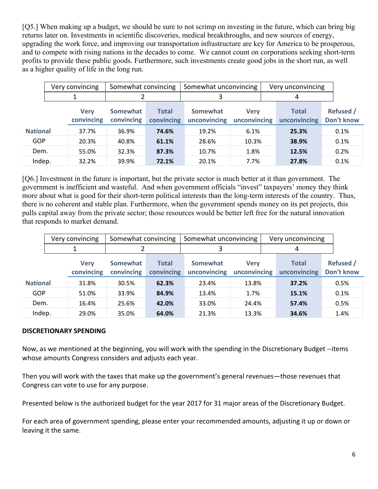[Q5.] When making up a budget, we should be sure to not scrimp on investing in the future, which can bring big returns later on. Investments in scientific discoveries, medical breakthroughs, and new sources of energy, upgrading the work force, and improving our transportation infrastructure are key for America to be prosperous, and to compete with rising nations in the decades to come. We cannot count on corporations seeking short-term profits to provide these public goods. Furthermore, such investments create good jobs in the short run, as well as a higher quality of life in the long run.

|                 | Very convincing |                           | Somewhat convincing    |                            | Somewhat unconvincing           |                             | Very unconvincing            |                                |  |
|-----------------|-----------------|---------------------------|------------------------|----------------------------|---------------------------------|-----------------------------|------------------------------|--------------------------------|--|
|                 |                 |                           |                        |                            |                                 |                             | 4                            |                                |  |
|                 |                 | <b>Verv</b><br>convincing | Somewhat<br>convincing | <b>Total</b><br>convincing | <b>Somewhat</b><br>unconvincing | <b>Verv</b><br>unconvincing | <b>Total</b><br>unconvincing | <b>Refused</b> /<br>Don't know |  |
| <b>National</b> |                 | 37.7%                     | 36.9%                  | 74.6%                      | 19.2%                           | 6.1%                        | 25.3%                        | 0.1%                           |  |
| <b>GOP</b>      |                 | 20.3%                     | 40.8%                  | 61.1%                      | 28.6%                           | 10.3%                       | 38.9%                        | 0.1%                           |  |
| Dem.            |                 | 55.0%                     | 32.3%                  | 87.3%                      | 10.7%                           | 1.8%                        | 12.5%                        | 0.2%                           |  |
| Indep.          |                 | 32.2%                     | 39.9%                  | 72.1%                      | 20.1%                           | 7.7%                        | 27.8%                        | 0.1%                           |  |

[Q6.] Investment in the future is important, but the private sector is much better at it than government. The government is inefficient and wasteful. And when government officials "invest" taxpayers' money they think more about what is good for their short-term political interests than the long-term interests of the country. Thus, there is no coherent and stable plan. Furthermore, when the government spends money on its pet projects, this pulls capital away from the private sector; those resources would be better left free for the natural innovation that responds to market demand.

|                 | Very convincing |                           | Somewhat convincing    |                            | Somewhat unconvincing    |                             |   | Very unconvincing            |  |                                |
|-----------------|-----------------|---------------------------|------------------------|----------------------------|--------------------------|-----------------------------|---|------------------------------|--|--------------------------------|
|                 |                 |                           |                        |                            | 3                        |                             | 4 |                              |  |                                |
|                 |                 | <b>Verv</b><br>convincing | Somewhat<br>convincing | <b>Total</b><br>convincing | Somewhat<br>unconvincing | <b>Verv</b><br>unconvincing |   | <b>Total</b><br>unconvincing |  | <b>Refused</b> /<br>Don't know |
| <b>National</b> |                 | 31.8%                     | 30.5%                  | 62.3%                      | 23.4%                    | 13.8%                       |   | 37.2%                        |  | 0.5%                           |
| <b>GOP</b>      |                 | 51.0%                     | 33.9%                  | 84.9%                      | 13.4%                    | 1.7%                        |   | 15.1%                        |  | 0.1%                           |
| Dem.            |                 | 16.4%                     | 25.6%                  | 42.0%                      | 33.0%                    | 24.4%                       |   | 57.4%                        |  | 0.5%                           |
| Indep.          |                 | 29.0%                     | 35.0%                  | 64.0%                      | 21.3%                    | 13.3%                       |   | 34.6%                        |  | 1.4%                           |

#### **DISCRETIONARY SPENDING**

Now, as we mentioned at the beginning, you will work with the spending in the Discretionary Budget ‐‐items whose amounts Congress considers and adjusts each year.

Then you will work with the taxes that make up the government's general revenues—those revenues that Congress can vote to use for any purpose.

Presented below is the authorized budget for the year 2017 for 31 major areas of the Discretionary Budget.

For each area of government spending, please enter your recommended amounts, adjusting it up or down or leaving it the same.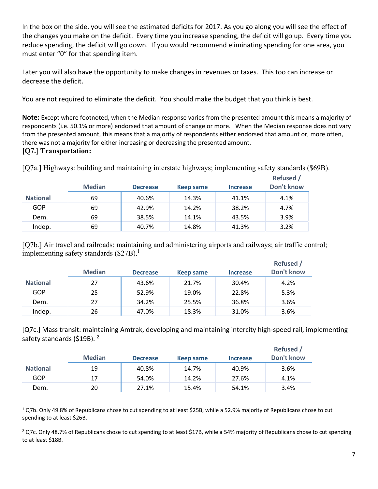In the box on the side, you will see the estimated deficits for 2017. As you go along you will see the effect of the changes you make on the deficit. Every time you increase spending, the deficit will go up. Every time you reduce spending, the deficit will go down. If you would recommend eliminating spending for one area, you must enter "0" for that spending item.

Later you will also have the opportunity to make changes in revenues or taxes. This too can increase or decrease the deficit.

You are not required to eliminate the deficit. You should make the budget that you think is best.

**Note:** Except where footnoted, when the Median response varies from the presented amount this means a majority of respondents (i.e. 50.1% or more) endorsed that amount of change or more. When the Median response does not vary from the presented amount, this means that a majority of respondents either endorsed that amount or, more often, there was not a majority for either increasing or decreasing the presented amount.

### **[Q7.] Transportation:**

[Q7a.] Highways: building and maintaining interstate highways; implementing safety standards (\$69B).

|                 | <b>Median</b> | <b>Decrease</b> | Keep same | <b>Increase</b> | Refused /<br>Don't know |
|-----------------|---------------|-----------------|-----------|-----------------|-------------------------|
| <b>National</b> | 69            | 40.6%           | 14.3%     | 41.1%           | 4.1%                    |
| GOP             | 69            | 42.9%           | 14.2%     | 38.2%           | 4.7%                    |
| Dem.            | 69            | 38.5%           | 14.1%     | 43.5%           | 3.9%                    |
| Indep.          | 69            | 40.7%           | 14.8%     | 41.3%           | 3.2%                    |

[Q7b.] Air travel and railroads: maintaining and administering airports and railways; air traffic control; implementing safety standards  $(\$27B).<sup>1</sup>$ 

|                 | <b>Median</b> | <b>Decrease</b> | Keep same | <b>Increase</b> | <b>Refused</b> /<br>Don't know |
|-----------------|---------------|-----------------|-----------|-----------------|--------------------------------|
| <b>National</b> | 27            | 43.6%           | 21.7%     | 30.4%           | 4.2%                           |
| GOP             | 25            | 52.9%           | 19.0%     | 22.8%           | 5.3%                           |
| Dem.            | 27            | 34.2%           | 25.5%     | 36.8%           | 3.6%                           |
| Indep.          | 26            | 47.0%           | 18.3%     | 31.0%           | 3.6%                           |

[Q7c.] Mass transit: maintaining Amtrak, developing and maintaining intercity high‐speed rail, implementing safety standards (\$19B).<sup>2</sup>

|                 | <b>Median</b> | <b>Decrease</b> | Keep same | <b>Increase</b> | <b>Refused</b><br>Don't know |
|-----------------|---------------|-----------------|-----------|-----------------|------------------------------|
| <b>National</b> | 19            | 40.8%           | 14.7%     | 40.9%           | 3.6%                         |
| GOP             | 17            | 54.0%           | 14.2%     | 27.6%           | 4.1%                         |
| Dem.            | 20            | 27.1%           | 15.4%     | 54.1%           | 3.4%                         |

  $1$  Q7b. Only 49.8% of Republicans chose to cut spending to at least \$25B, while a 52.9% majority of Republicans chose to cut spending to at least \$26B.

 $^2$  Q7c. Only 48.7% of Republicans chose to cut spending to at least \$17B, while a 54% majority of Republicans chose to cut spending to at least \$18B.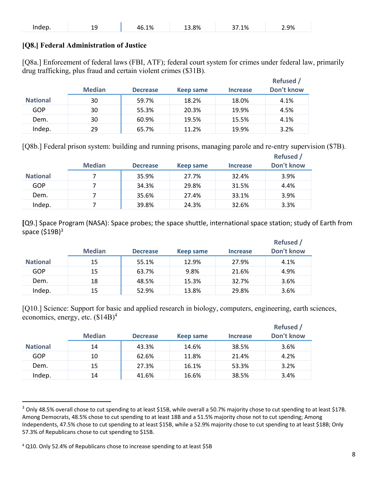| Indep.<br>. .<br>--<br>-- | 1%.د<br>46 | ∡3.8% | $1.1\%$ | 2.9% |
|---------------------------|------------|-------|---------|------|
|---------------------------|------------|-------|---------|------|

#### **[Q8.] Federal Administration of Justice**

[Q8a.] Enforcement of federal laws (FBI, ATF); federal court system for crimes under federal law, primarily drug trafficking, plus fraud and certain violent crimes (\$31B).

|                 | <b>Median</b> | <b>Decrease</b> | Keep same | <b>Increase</b> | <b>Refused</b> /<br>Don't know |
|-----------------|---------------|-----------------|-----------|-----------------|--------------------------------|
| <b>National</b> | 30            | 59.7%           | 18.2%     | 18.0%           | 4.1%                           |
| GOP             | 30            | 55.3%           | 20.3%     | 19.9%           | 4.5%                           |
| Dem.            | 30            | 60.9%           | 19.5%     | 15.5%           | 4.1%                           |
| Indep.          | 29            | 65.7%           | 11.2%     | 19.9%           | 3.2%                           |

[Q8b.] Federal prison system: building and running prisons, managing parole and re-entry supervision (\$7B).

|                 | <b>Median</b> | <b>Decrease</b> | Keep same | <b>Increase</b> | <b>Refused</b> /<br>Don't know |
|-----------------|---------------|-----------------|-----------|-----------------|--------------------------------|
| <b>National</b> |               | 35.9%           | 27.7%     | 32.4%           | 3.9%                           |
| GOP             |               | 34.3%           | 29.8%     | 31.5%           | 4.4%                           |
| Dem.            |               | 35.6%           | 27.4%     | 33.1%           | 3.9%                           |
| Indep.          |               | 39.8%           | 24.3%     | 32.6%           | 3.3%                           |

**[**Q9.] Space Program (NASA): Space probes; the space shuttle, international space station; study of Earth from space  $( $\xi$ 19B)<sup>3</sup>$ 

**Refused 19** 

|                 | <b>Median</b> | <b>Decrease</b> | Keep same | <b>Increase</b> | <b>Refused</b> /<br>Don't know |
|-----------------|---------------|-----------------|-----------|-----------------|--------------------------------|
| <b>National</b> | 15            | 55.1%           | 12.9%     | 27.9%           | 4.1%                           |
| GOP             | 15            | 63.7%           | 9.8%      | 21.6%           | 4.9%                           |
| Dem.            | 18            | 48.5%           | 15.3%     | 32.7%           | 3.6%                           |
| Indep.          | 15            | 52.9%           | 13.8%     | 29.8%           | 3.6%                           |

[Q10.] Science: Support for basic and applied research in biology, computers, engineering, earth sciences, economics, energy, etc. (\$14B)<sup>4</sup>

|                 | <b>Median</b> | <b>Decrease</b> | Keep same | <b>Increase</b> | <b>Refused</b> /<br>Don't know |
|-----------------|---------------|-----------------|-----------|-----------------|--------------------------------|
| <b>National</b> | 14            | 43.3%           | 14.6%     | 38.5%           | 3.6%                           |
| GOP             | 10            | 62.6%           | 11.8%     | 21.4%           | 4.2%                           |
| Dem.            | 15            | 27.3%           | 16.1%     | 53.3%           | 3.2%                           |
| Indep.          | 14            | 41.6%           | 16.6%     | 38.5%           | 3.4%                           |

<sup>&</sup>lt;sup>3</sup> Only 48.5% overall chose to cut spending to at least \$15B, while overall a 50.7% majority chose to cut spending to at least \$17B. Among Democrats, 48.5% chose to cut spending to at least 18B and a 51.5% majority chose not to cut spending; Among Independents, 47.5% chose to cut spending to at least \$15B, while a 52.9% majority chose to cut spending to at least \$18B; Only 57.3% of Republicans chose to cut spending to \$15B.

<sup>&</sup>lt;sup>4</sup> Q10. Only 52.4% of Republicans chose to increase spending to at least \$5B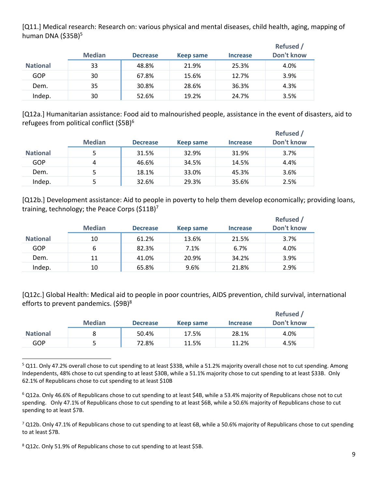[Q11.] Medical research: Research on: various physical and mental diseases, child health, aging, mapping of human DNA (\$35B)<sup>5</sup>

|                 | <b>Median</b> | <b>Decrease</b> | Keep same | <b>Increase</b> | <b>Refused</b> /<br>Don't know |
|-----------------|---------------|-----------------|-----------|-----------------|--------------------------------|
| <b>National</b> | 33            | 48.8%           | 21.9%     | 25.3%           | 4.0%                           |
| GOP             | 30            | 67.8%           | 15.6%     | 12.7%           | 3.9%                           |
| Dem.            | 35            | 30.8%           | 28.6%     | 36.3%           | 4.3%                           |
| Indep.          | 30            | 52.6%           | 19.2%     | 24.7%           | 3.5%                           |

[Q12a.] Humanitarian assistance: Food aid to malnourished people, assistance in the event of disasters, aid to refugees from political conflict (\$5B)<sup>6</sup>

|                 | <b>Median</b> | <b>Decrease</b> | Keep same | <b>Increase</b> | <b>Refused /</b><br>Don't know |
|-----------------|---------------|-----------------|-----------|-----------------|--------------------------------|
| <b>National</b> | 5             | 31.5%           | 32.9%     | 31.9%           | 3.7%                           |
| GOP             | 4             | 46.6%           | 34.5%     | 14.5%           | 4.4%                           |
| Dem.            | 5             | 18.1%           | 33.0%     | 45.3%           | 3.6%                           |
| Indep.          |               | 32.6%           | 29.3%     | 35.6%           | 2.5%                           |

[Q12b.] Development assistance: Aid to people in poverty to help them develop economically; providing loans, training, technology; the Peace Corps  $(511B)^7$ 

|                 | <b>Median</b> | <b>Decrease</b> | <b>Keep same</b> | <b>Increase</b> | Refused /<br>Don't know |
|-----------------|---------------|-----------------|------------------|-----------------|-------------------------|
| <b>National</b> | 10            | 61.2%           | 13.6%            | 21.5%           | 3.7%                    |
| GOP             | 6             | 82.3%           | 7.1%             | 6.7%            | 4.0%                    |
| Dem.            | 11            | 41.0%           | 20.9%            | 34.2%           | 3.9%                    |
| Indep.          | 10            | 65.8%           | 9.6%             | 21.8%           | 2.9%                    |

[Q12c.] Global Health: Medical aid to people in poor countries, AIDS prevention, child survival, international efforts to prevent pandemics.  $(59B)^8$ 

|                 | <b>Median</b> | <b>Decrease</b> | Keep same | <b>Increase</b> | Refused /<br>Don't know |
|-----------------|---------------|-----------------|-----------|-----------------|-------------------------|
| <b>National</b> |               | 50.4%           | 17.5%     | 28.1%           | 4.0%                    |
| GOP             |               | 72.8%           | 11.5%     | 11.2%           | 4.5%                    |

<sup>&</sup>lt;sup>5</sup> Q11. Only 47.2% overall chose to cut spending to at least \$33B, while a 51.2% majority overall chose not to cut spending. Among Independents, 48% chose to cut spending to at least \$30B, while a 51.1% majority chose to cut spending to at least \$33B. Only 62.1% of Republicans chose to cut spending to at least \$10B

 $^6$  Q12a. Only 46.6% of Republicans chose to cut spending to at least \$4B, while a 53.4% majority of Republicans chose not to cut spending. Only 47.1% of Republicans chose to cut spending to at least \$6B, while a 50.6% majority of Republicans chose to cut spending to at least \$7B.

 $^7$  Q12b. Only 47.1% of Republicans chose to cut spending to at least 6B, while a 50.6% majority of Republicans chose to cut spending to at least \$7B.

<sup>&</sup>lt;sup>8</sup> Q12c. Only 51.9% of Republicans chose to cut spending to at least \$5B.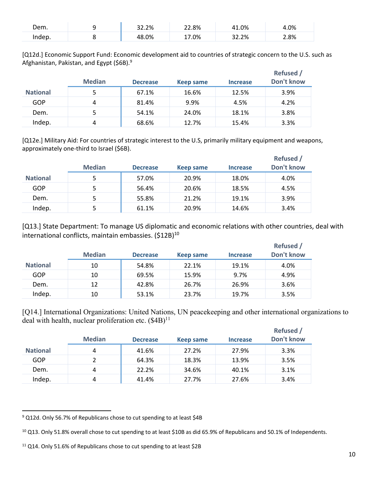| Dem.   | 32.2% | 22.8% | 41.0% | 4.0% |
|--------|-------|-------|-------|------|
| Indep. | 48.0% | 17.0% | 32.2% | 2.8% |

[Q12d.] Economic Support Fund: Economic development aid to countries of strategic concern to the U.S. such as Afghanistan, Pakistan, and Egypt (\$6B).<sup>9</sup>

|                 | <b>Median</b> | <b>Decrease</b> | Keep same | <b>Increase</b> | Refused /<br>Don't know |
|-----------------|---------------|-----------------|-----------|-----------------|-------------------------|
| <b>National</b> | 5             | 67.1%           | 16.6%     | 12.5%           | 3.9%                    |
| GOP             | 4             | 81.4%           | 9.9%      | 4.5%            | 4.2%                    |
| Dem.            | 5             | 54.1%           | 24.0%     | 18.1%           | 3.8%                    |
| Indep.          | 4             | 68.6%           | 12.7%     | 15.4%           | 3.3%                    |

[Q12e.] Military Aid: For countries of strategic interest to the U.S, primarily military equipment and weapons, approximately one‐third to Israel (\$6B).

|                 | <b>Median</b> | <b>Decrease</b> | Keep same | <b>Increase</b> | Refused /<br>Don't know |
|-----------------|---------------|-----------------|-----------|-----------------|-------------------------|
| <b>National</b> | 5             | 57.0%           | 20.9%     | 18.0%           | 4.0%                    |
| GOP             | 5             | 56.4%           | 20.6%     | 18.5%           | 4.5%                    |
| Dem.            | 5             | 55.8%           | 21.2%     | 19.1%           | 3.9%                    |
| Indep.          | 5             | 61.1%           | 20.9%     | 14.6%           | 3.4%                    |

[Q13.] State Department: To manage US diplomatic and economic relations with other countries, deal with international conflicts, maintain embassies.  $(512B)^{10}$ 

|                 | <b>Median</b> | <b>Decrease</b> | Keep same | <b>Increase</b> | Refused /<br>Don't know |
|-----------------|---------------|-----------------|-----------|-----------------|-------------------------|
| <b>National</b> | 10            | 54.8%           | 22.1%     | 19.1%           | 4.0%                    |
| GOP             | 10            | 69.5%           | 15.9%     | 9.7%            | 4.9%                    |
| Dem.            | 12            | 42.8%           | 26.7%     | 26.9%           | 3.6%                    |
| Indep.          | 10            | 53.1%           | 23.7%     | 19.7%           | 3.5%                    |

[Q14.] International Organizations: United Nations, UN peacekeeping and other international organizations to deal with health, nuclear proliferation etc.  $(S4B)^{11}$ 

|                 | <b>Median</b> | <b>Decrease</b> | Keep same | <b>Increase</b> | <b>Refused</b> /<br>Don't know |
|-----------------|---------------|-----------------|-----------|-----------------|--------------------------------|
| <b>National</b> | 4             | 41.6%           | 27.2%     | 27.9%           | 3.3%                           |
| GOP             |               | 64.3%           | 18.3%     | 13.9%           | 3.5%                           |
| Dem.            | 4             | 22.2%           | 34.6%     | 40.1%           | 3.1%                           |
| Indep.          | 4             | 41.4%           | 27.7%     | 27.6%           | 3.4%                           |

<sup>&</sup>lt;sup>9</sup> Q12d. Only 56.7% of Republicans chose to cut spending to at least \$4B

<sup>&</sup>lt;sup>10</sup> Q13. Only 51.8% overall chose to cut spending to at least \$10B as did 65.9% of Republicans and 50.1% of Independents.

<sup>&</sup>lt;sup>11</sup> Q14. Only 51.6% of Republicans chose to cut spending to at least \$2B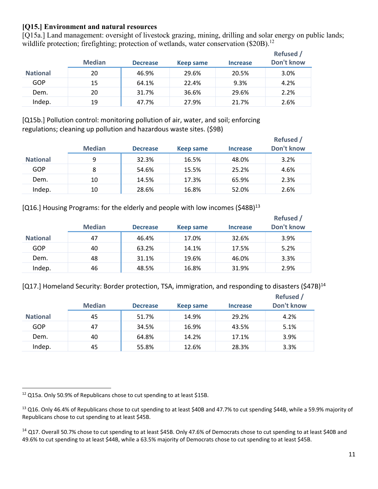#### **[Q15.] Environment and natural resources**

[Q15a.] Land management: oversight of livestock grazing, mining, drilling and solar energy on public lands; wildlife protection; firefighting; protection of wetlands, water conservation  $(\$20B)$ .<sup>12</sup>

|                 | <b>Median</b> | <b>Decrease</b> | Keep same | <b>Increase</b> | <b>Refused</b> /<br>Don't know |
|-----------------|---------------|-----------------|-----------|-----------------|--------------------------------|
| <b>National</b> | 20            | 46.9%           | 29.6%     | 20.5%           | 3.0%                           |
| GOP             | 15            | 64.1%           | 22.4%     | 9.3%            | 4.2%                           |
| Dem.            | 20            | 31.7%           | 36.6%     | 29.6%           | 2.2%                           |
| Indep.          | 19            | 47.7%           | 27.9%     | 21.7%           | 2.6%                           |

[Q15b.] Pollution control: monitoring pollution of air, water, and soil; enforcing regulations; cleaning up pollution and hazardous waste sites. (\$9B)

|                 | <b>Median</b> | <b>Decrease</b> | Keep same | <b>Increase</b> | Refused /<br>Don't know |
|-----------------|---------------|-----------------|-----------|-----------------|-------------------------|
| <b>National</b> | 9             | 32.3%           | 16.5%     | 48.0%           | 3.2%                    |
| GOP             | 8             | 54.6%           | 15.5%     | 25.2%           | 4.6%                    |
| Dem.            | 10            | 14.5%           | 17.3%     | 65.9%           | 2.3%                    |
| Indep.          | 10            | 28.6%           | 16.8%     | 52.0%           | 2.6%                    |

[Q16.] Housing Programs: for the elderly and people with low incomes (\$48B)<sup>13</sup>

|                 | <b>Median</b> | <b>Decrease</b> | Keep same | <b>Increase</b> | <b>Refused</b> /<br>Don't know |
|-----------------|---------------|-----------------|-----------|-----------------|--------------------------------|
| <b>National</b> | 47            | 46.4%           | 17.0%     | 32.6%           | 3.9%                           |
| GOP             | 40            | 63.2%           | 14.1%     | 17.5%           | 5.2%                           |
| Dem.            | 48            | 31.1%           | 19.6%     | 46.0%           | 3.3%                           |
| Indep.          | 46            | 48.5%           | 16.8%     | 31.9%           | 2.9%                           |

[Q17.] Homeland Security: Border protection, TSA, immigration, and responding to disasters (\$47B)<sup>14</sup>

|                 | <b>Median</b> | <b>Decrease</b> | Keep same | <b>Increase</b> | <b>Refused /</b><br>Don't know |
|-----------------|---------------|-----------------|-----------|-----------------|--------------------------------|
| <b>National</b> | 45            | 51.7%           | 14.9%     | 29.2%           | 4.2%                           |
| GOP             | 47            | 34.5%           | 16.9%     | 43.5%           | 5.1%                           |
| Dem.            | 40            | 64.8%           | 14.2%     | 17.1%           | 3.9%                           |
| Indep.          | 45            | 55.8%           | 12.6%     | 28.3%           | 3.3%                           |

 $^{12}$  Q15a. Only 50.9% of Republicans chose to cut spending to at least \$15B.

<sup>&</sup>lt;sup>13</sup> Q16. Only 46.4% of Republicans chose to cut spending to at least \$40B and 47.7% to cut spending \$44B, while a 59.9% majority of Republicans chose to cut spending to at least \$45B.

<sup>&</sup>lt;sup>14</sup> Q17. Overall 50.7% chose to cut spending to at least \$45B. Only 47.6% of Democrats chose to cut spending to at least \$40B and 49.6% to cut spending to at least \$44B, while a 63.5% majority of Democrats chose to cut spending to at least \$45B.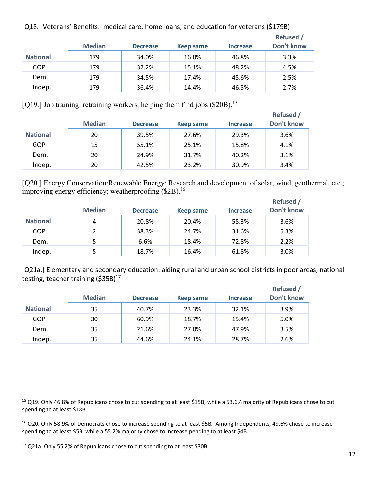[Q18.] Veterans' Benefits: medical care, home loans, and education for veterans (\$179B)

|                 | <b>Median</b> | <b>Decrease</b> | Keep same | <b>Increase</b> | <b>Refused</b> /<br>Don't know |
|-----------------|---------------|-----------------|-----------|-----------------|--------------------------------|
| <b>National</b> | 179           | 34.0%           | 16.0%     | 46.8%           | 3.3%                           |
| GOP             | 179           | 32.2%           | 15.1%     | 48.2%           | 4.5%                           |
| Dem.            | 179           | 34.5%           | 17.4%     | 45.6%           | 2.5%                           |
| Indep.          | 179           | 36.4%           | 14.4%     | 46.5%           | 2.7%                           |

[Q19.] Job training: retraining workers, helping them find jobs  $(\$20B)$ <sup>15</sup>

|                 | <b>Median</b> | <b>Decrease</b> | Keep same | <b>Increase</b> | <b>Refused</b> /<br>Don't know |
|-----------------|---------------|-----------------|-----------|-----------------|--------------------------------|
| <b>National</b> | 20            | 39.5%           | 27.6%     | 29.3%           | 3.6%                           |
| GOP             | 15            | 55.1%           | 25.1%     | 15.8%           | 4.1%                           |
| Dem.            | 20            | 24.9%           | 31.7%     | 40.2%           | 3.1%                           |
| Indep.          | 20            | 42.5%           | 23.2%     | 30.9%           | 3.4%                           |

[Q20.] Energy Conservation/Renewable Energy: Research and development of solar, wind, geothermal, etc.; improving energy efficiency; weatherproofing (\$2B).<sup>16</sup>

|                 | <b>Median</b> | <b>Decrease</b> | Keep same | <b>Increase</b> | <b>Refused</b> /<br>Don't know |
|-----------------|---------------|-----------------|-----------|-----------------|--------------------------------|
| <b>National</b> | 4             | 20.8%           | 20.4%     | 55.3%           | 3.6%                           |
| GOP             | 2             | 38.3%           | 24.7%     | 31.6%           | 5.3%                           |
| Dem.            | 5             | 6.6%            | 18.4%     | 72.8%           | 2.2%                           |
| Indep.          | 5             | 18.7%           | 16.4%     | 61.8%           | 3.0%                           |

[Q21a.] Elementary and secondary education: aiding rural and urban school districts in poor areas, national testing, teacher training  $(535B)^{17}$ 

|                 | <b>Median</b> | <b>Decrease</b> | Keep same | <b>Increase</b> | <b>Refused</b><br>Don't know |
|-----------------|---------------|-----------------|-----------|-----------------|------------------------------|
| <b>National</b> | 35            | 40.7%           | 23.3%     | 32.1%           | 3.9%                         |
| GOP             | 30            | 60.9%           | 18.7%     | 15.4%           | 5.0%                         |
| Dem.            | 35            | 21.6%           | 27.0%     | 47.9%           | 3.5%                         |
| Indep.          | 35            | 44.6%           | 24.1%     | 28.7%           | 2.6%                         |

<sup>15</sup> Q19. Only 46.8% of Republicans chose to cut spending to at least \$15B, while a 53.6% majority of Republicans chose to cut spending to at least \$18B.

<sup>&</sup>lt;sup>16</sup> Q20. Only 58.9% of Democrats chose to increase spending to at least \$5B. Among Independents, 49.6% chose to increase spending to at least \$5B, while a 55.2% majority chose to increase pending to at least \$4B.

<sup>&</sup>lt;sup>17</sup> Q21a. Only 55.2% of Republicans chose to cut spending to at least \$30B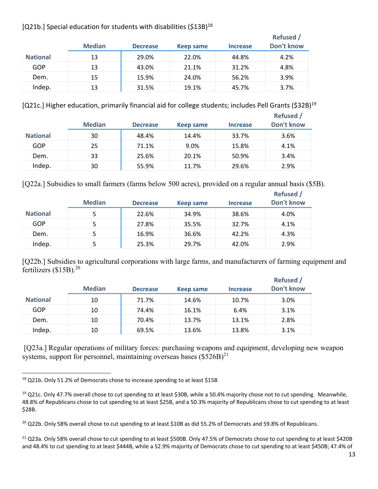#### [Q21b.] Special education for students with disabilities (\$13B)<sup>18</sup>

|                 | <b>Median</b> | <b>Decrease</b> | Keep same | <b>Increase</b> | <b>Refused</b><br>Don't know |
|-----------------|---------------|-----------------|-----------|-----------------|------------------------------|
| <b>National</b> | 13            | 29.0%           | 22.0%     | 44.8%           | 4.2%                         |
| GOP             | 13            | 43.0%           | 21.1%     | 31.2%           | 4.8%                         |
| Dem.            | 15            | 15.9%           | 24.0%     | 56.2%           | 3.9%                         |
| Indep.          | 13            | 31.5%           | 19.1%     | 45.7%           | 3.7%                         |

[Q21c.] Higher education, primarily financial aid for college students; includes Pell Grants (\$32B)<sup>19</sup>

|                 | <b>Median</b> | <b>Decrease</b> | <b>Keep same</b> | Increase | <b>Refused</b> /<br>Don't know |
|-----------------|---------------|-----------------|------------------|----------|--------------------------------|
| <b>National</b> | 30            | 48.4%           | 14.4%            | 33.7%    | 3.6%                           |
| GOP             | 25            | 71.1%           | 9.0%             | 15.8%    | 4.1%                           |
| Dem.            | 33            | 25.6%           | 20.1%            | 50.9%    | 3.4%                           |
| Indep.          | 30            | 55.9%           | 11.7%            | 29.6%    | 2.9%                           |

[Q22a.] Subsidies to small farmers (farms below 500 acres), provided on a regular annual basis (\$5B).

|                 | <b>Median</b> | <b>Decrease</b> | Keep same | <b>Increase</b> | Refused /<br>Don't know |
|-----------------|---------------|-----------------|-----------|-----------------|-------------------------|
| <b>National</b> | 5             | 22.6%           | 34.9%     | 38.6%           | 4.0%                    |
| GOP             | 5             | 27.8%           | 35.5%     | 32.7%           | 4.1%                    |
| Dem.            | 5.            | 16.9%           | 36.6%     | 42.2%           | 4.3%                    |
| Indep.          | 5.            | 25.3%           | 29.7%     | 42.0%           | 2.9%                    |

[Q22b.] Subsidies to agricultural corporations with large farms, and manufacturers of farming equipment and fertilizers  $($15B).<sup>20</sup>$ 

|                 | <b>Median</b> | <b>Decrease</b> | Keep same | <b>Increase</b> | <b>Refused</b> /<br>Don't know |
|-----------------|---------------|-----------------|-----------|-----------------|--------------------------------|
| <b>National</b> | 10            | 71.7%           | 14.6%     | 10.7%           | 3.0%                           |
| GOP             | 10            | 74.4%           | 16.1%     | 6.4%            | 3.1%                           |
| Dem.            | 10            | 70.4%           | 13.7%     | 13.1%           | 2.8%                           |
| Indep.          | 10            | 69.5%           | 13.6%     | 13.8%           | 3.1%                           |

[Q23a.] Regular operations of military forces: purchasing weapons and equipment, developing new weapon systems, support for personnel, maintaining overseas bases  $(\$526B)^{21}$ 

 <sup>18</sup> Q21b. Only 51.2% of Democrats chose to increase spending to at least \$15B

<sup>&</sup>lt;sup>19</sup> Q21c. Only 47.7% overall chose to cut spending to at least \$30B, while a 50.4% majority chose not to cut spending. Meanwhile, 48.8% of Republicans chose to cut spending to at least \$25B, and a 50.3% majority of Republicans chose to cut spending to at least \$28B.

<sup>&</sup>lt;sup>20</sup> Q22b. Only 58% overall chose to cut spending to at least \$10B as did 55.2% of Democrats and 59.8% of Republicans.

 $^{21}$  Q23a. Only 58% overall chose to cut spending to at least \$500B. Only 47.5% of Democrats chose to cut spending to at least \$420B and 48.4% to cut spending to at least \$444B, while a 52.9% majority of Democrats chose to cut spending to at least \$450B; 47.4% of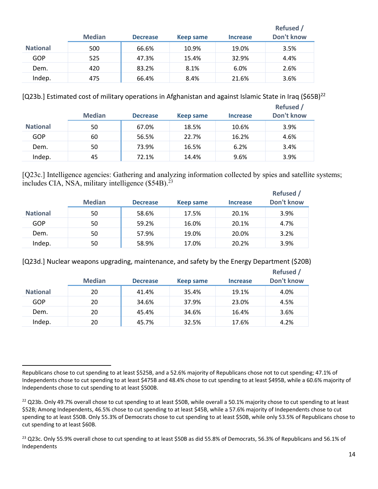|                 | <b>Median</b> | <b>Decrease</b> | <b>Keep same</b> | <b>Increase</b> | <b>Refused</b> /<br>Don't know |
|-----------------|---------------|-----------------|------------------|-----------------|--------------------------------|
| <b>National</b> | 500           | 66.6%           | 10.9%            | 19.0%           | 3.5%                           |
| GOP             | 525           | 47.3%           | 15.4%            | 32.9%           | 4.4%                           |
| Dem.            | 420           | 83.2%           | 8.1%             | 6.0%            | 2.6%                           |
| Indep.          | 475           | 66.4%           | 8.4%             | 21.6%           | 3.6%                           |

[Q23b.] Estimated cost of military operations in Afghanistan and against Islamic State in Iraq (\$65B)<sup>22</sup>

|                 | <b>Median</b> | <b>Decrease</b> | Keep same | <b>Increase</b> | <b>Refused</b> /<br>Don't know |
|-----------------|---------------|-----------------|-----------|-----------------|--------------------------------|
| <b>National</b> | 50            | 67.0%           | 18.5%     | 10.6%           | 3.9%                           |
| GOP             | 60            | 56.5%           | 22.7%     | 16.2%           | 4.6%                           |
| Dem.            | 50            | 73.9%           | 16.5%     | 6.2%            | 3.4%                           |
| Indep.          | 45            | 72.1%           | 14.4%     | 9.6%            | 3.9%                           |

[Q23c.] Intelligence agencies: Gathering and analyzing information collected by spies and satellite systems; includes CIA, NSA, military intelligence  $(\$54B).^{23}$ 

|                 | <b>Median</b> | <b>Decrease</b> | Keep same | <b>Increase</b> | <b>Refused</b> /<br>Don't know |
|-----------------|---------------|-----------------|-----------|-----------------|--------------------------------|
| <b>National</b> | 50            | 58.6%           | 17.5%     | 20.1%           | 3.9%                           |
| GOP             | 50            | 59.2%           | 16.0%     | 20.1%           | 4.7%                           |
| Dem.            | 50            | 57.9%           | 19.0%     | 20.0%           | 3.2%                           |
| Indep.          | 50            | 58.9%           | 17.0%     | 20.2%           | 3.9%                           |

[Q23d.] Nuclear weapons upgrading, maintenance, and safety by the Energy Department (\$20B)

|                 | <b>Median</b> | <b>Decrease</b> | Keep same | <b>Increase</b> | <b>Refused</b> /<br>Don't know |
|-----------------|---------------|-----------------|-----------|-----------------|--------------------------------|
| <b>National</b> | 20            | 41.4%           | 35.4%     | 19.1%           | 4.0%                           |
| GOP             | 20            | 34.6%           | 37.9%     | 23.0%           | 4.5%                           |
| Dem.            | 20            | 45.4%           | 34.6%     | 16.4%           | 3.6%                           |
| Indep.          | 20            | 45.7%           | 32.5%     | 17.6%           | 4.2%                           |

 Republicans chose to cut spending to at least \$525B, and a 52.6% majority of Republicans chose not to cut spending; 47.1% of Independents chose to cut spending to at least \$475B and 48.4% chose to cut spending to at least \$495B, while a 60.6% majority of Independents chose to cut spending to at least \$500B.

<sup>&</sup>lt;sup>22</sup> Q23b. Only 49.7% overall chose to cut spending to at least \$50B, while overall a 50.1% majority chose to cut spending to at least \$52B; Among Independents, 46.5% chose to cut spending to at least \$45B, while a 57.6% majority of Independents chose to cut spending to at least \$50B. Only 55.3% of Democrats chose to cut spending to at least \$50B, while only 53.5% of Republicans chose to cut spending to at least \$60B.

<sup>&</sup>lt;sup>23</sup> Q23c. Only 55.9% overall chose to cut spending to at least \$50B as did 55.8% of Democrats, 56.3% of Republicans and 56.1% of Independents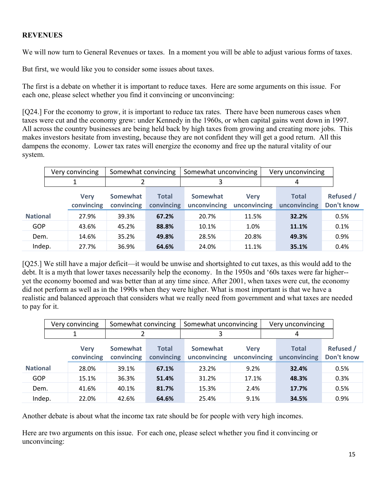#### **REVENUES**

We will now turn to General Revenues or taxes. In a moment you will be able to adjust various forms of taxes.

But first, we would like you to consider some issues about taxes.

The first is a debate on whether it is important to reduce taxes. Here are some arguments on this issue. For each one, please select whether you find it convincing or unconvincing:

[Q24.] For the economy to grow, it is important to reduce tax rates. There have been numerous cases when taxes were cut and the economy grew: under Kennedy in the 1960s, or when capital gains went down in 1997. All across the country businesses are being held back by high taxes from growing and creating more jobs. This makes investors hesitate from investing, because they are not confident they will get a good return. All this dampens the economy. Lower tax rates will energize the economy and free up the natural vitality of our system.

|                 | Very convincing           | Somewhat convincing           |                            | Somewhat unconvincing    |                             | Very unconvincing            |                                |
|-----------------|---------------------------|-------------------------------|----------------------------|--------------------------|-----------------------------|------------------------------|--------------------------------|
|                 |                           |                               |                            |                          |                             | 4                            |                                |
|                 | <b>Very</b><br>convincing | <b>Somewhat</b><br>convincing | <b>Total</b><br>convincing | Somewhat<br>unconvincing | <b>Very</b><br>unconvincing | <b>Total</b><br>unconvincing | <b>Refused</b> /<br>Don't know |
| <b>National</b> | 27.9%                     | 39.3%                         | 67.2%                      | 20.7%                    | 11.5%                       | 32.2%                        | 0.5%                           |
| GOP             | 43.6%                     | 45.2%                         | 88.8%                      | 10.1%                    | 1.0%                        | 11.1%                        | 0.1%                           |
| Dem.            | 14.6%                     | 35.2%                         | 49.8%                      | 28.5%                    | 20.8%                       | 49.3%                        | 0.9%                           |
| Indep.          | 27.7%                     | 36.9%                         | 64.6%                      | 24.0%                    | 11.1%                       | 35.1%                        | 0.4%                           |

[Q25.] We still have a major deficit—it would be unwise and shortsighted to cut taxes, as this would add to the debt. It is a myth that lower taxes necessarily help the economy. In the 1950s and '60s taxes were far higher- yet the economy boomed and was better than at any time since. After 2001, when taxes were cut, the economy did not perform as well as in the 1990s when they were higher. What is most important is that we have a realistic and balanced approach that considers what we really need from government and what taxes are needed to pay for it.

|                 |                           | Very convincing | Somewhat convincing    |                            | Somewhat unconvincing           |                             |  | Very unconvincing            |                                |
|-----------------|---------------------------|-----------------|------------------------|----------------------------|---------------------------------|-----------------------------|--|------------------------------|--------------------------------|
|                 |                           |                 |                        |                            |                                 |                             |  | 4                            |                                |
|                 | <b>Very</b><br>convincing |                 | Somewhat<br>convincing | <b>Total</b><br>convincing | <b>Somewhat</b><br>unconvincing | <b>Very</b><br>unconvincing |  | <b>Total</b><br>unconvincing | <b>Refused /</b><br>Don't know |
| <b>National</b> |                           | 28.0%           | 39.1%                  | 67.1%                      | 23.2%                           | 9.2%                        |  | 32.4%                        | 0.5%                           |
| <b>GOP</b>      |                           | 15.1%           | 36.3%                  | 51.4%                      | 31.2%                           | 17.1%                       |  | 48.3%                        | 0.3%                           |
| Dem.            |                           | 41.6%           | 40.1%                  | 81.7%                      | 15.3%                           | 2.4%                        |  | 17.7%                        | 0.5%                           |
| Indep.          |                           | 22.0%           | 42.6%                  | 64.6%                      | 25.4%                           | 9.1%                        |  | 34.5%                        | 0.9%                           |

Another debate is about what the income tax rate should be for people with very high incomes.

Here are two arguments on this issue. For each one, please select whether you find it convincing or unconvincing: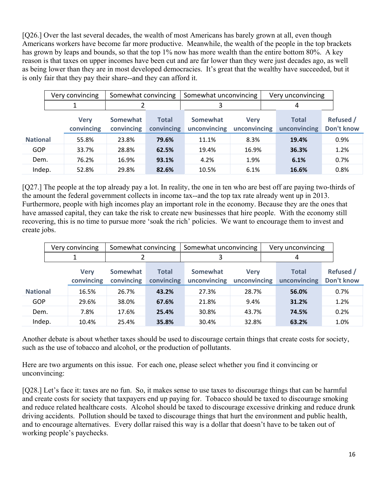[Q26.] Over the last several decades, the wealth of most Americans has barely grown at all, even though Americans workers have become far more productive. Meanwhile, the wealth of the people in the top brackets has grown by leaps and bounds, so that the top 1% now has more wealth than the entire bottom 80%. A key reason is that taxes on upper incomes have been cut and are far lower than they were just decades ago, as well as being lower than they are in most developed democracies. It's great that the wealthy have succeeded, but it is only fair that they pay their share--and they can afford it.

|                 |                           | Very convincing | Somewhat convincing    |                            | Somewhat unconvincing    |                             | Very unconvincing            |                         |  |
|-----------------|---------------------------|-----------------|------------------------|----------------------------|--------------------------|-----------------------------|------------------------------|-------------------------|--|
|                 |                           |                 |                        |                            |                          |                             | 4                            |                         |  |
|                 | <b>Very</b><br>convincing |                 | Somewhat<br>convincing | <b>Total</b><br>convincing | Somewhat<br>unconvincing | <b>Verv</b><br>unconvincing | <b>Total</b><br>unconvincing | Refused /<br>Don't know |  |
| <b>National</b> |                           | 55.8%           | 23.8%                  | 79.6%                      | 11.1%                    | 8.3%                        | 19.4%                        | 0.9%                    |  |
| GOP             |                           | 33.7%           | 28.8%                  | 62.5%                      | 19.4%                    | 16.9%                       | 36.3%                        | 1.2%                    |  |
| Dem.            |                           | 76.2%           | 16.9%                  | 93.1%                      | 4.2%                     | 1.9%                        | 6.1%                         | 0.7%                    |  |
| Indep.          |                           | 52.8%           | 29.8%                  | 82.6%                      | 10.5%                    | 6.1%                        | 16.6%                        | 0.8%                    |  |

[Q27.] The people at the top already pay a lot. In reality, the one in ten who are best off are paying two-thirds of the amount the federal government collects in income tax--and the top tax rate already went up in 2013. Furthermore, people with high incomes play an important role in the economy. Because they are the ones that have amassed capital, they can take the risk to create new businesses that hire people. With the economy still recovering, this is no time to pursue more 'soak the rich' policies. We want to encourage them to invest and create jobs.

|                 | Very convincing                                            | Somewhat convincing |                            | Somewhat unconvincing                                   |       | Very unconvincing            |                                |
|-----------------|------------------------------------------------------------|---------------------|----------------------------|---------------------------------------------------------|-------|------------------------------|--------------------------------|
|                 |                                                            |                     |                            |                                                         |       | 4                            |                                |
|                 | <b>Somewhat</b><br><b>Verv</b><br>convincing<br>convincing |                     | <b>Total</b><br>convincing | Somewhat<br><b>Verv</b><br>unconvincing<br>unconvincing |       | <b>Total</b><br>unconvincing | <b>Refused</b> /<br>Don't know |
| <b>National</b> | 16.5%                                                      | 26.7%               | 43.2%                      | 27.3%                                                   | 28.7% | 56.0%                        | 0.7%                           |
| GOP             | 29.6%                                                      | 38.0%               | 67.6%                      | 21.8%                                                   | 9.4%  | 31.2%                        | 1.2%                           |
| Dem.            | 7.8%                                                       | 17.6%               | 25.4%                      | 30.8%                                                   | 43.7% | 74.5%                        | 0.2%                           |
| Indep.          | 10.4%                                                      | 25.4%               | 35.8%                      | 30.4%                                                   | 32.8% | 63.2%                        | 1.0%                           |

Another debate is about whether taxes should be used to discourage certain things that create costs for society, such as the use of tobacco and alcohol, or the production of pollutants.

Here are two arguments on this issue. For each one, please select whether you find it convincing or unconvincing:

[Q28.] Let's face it: taxes are no fun. So, it makes sense to use taxes to discourage things that can be harmful and create costs for society that taxpayers end up paying for. Tobacco should be taxed to discourage smoking and reduce related healthcare costs. Alcohol should be taxed to discourage excessive drinking and reduce drunk driving accidents. Pollution should be taxed to discourage things that hurt the environment and public health, and to encourage alternatives. Every dollar raised this way is a dollar that doesn't have to be taken out of working people's paychecks.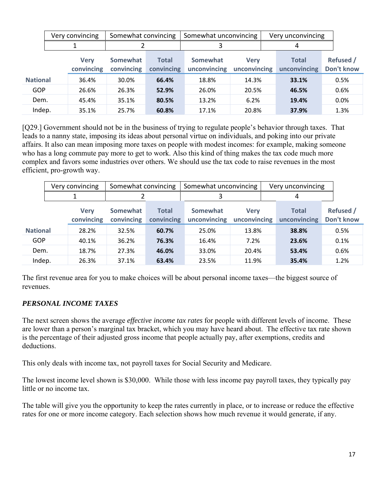|                 |                           | Very convincing | Somewhat convincing           |                            | Somewhat unconvincing    |                             |  | Very unconvincing            |                                |
|-----------------|---------------------------|-----------------|-------------------------------|----------------------------|--------------------------|-----------------------------|--|------------------------------|--------------------------------|
|                 |                           |                 |                               |                            |                          |                             |  | 4                            |                                |
|                 | <b>Verv</b><br>convincing |                 | <b>Somewhat</b><br>convincing | <b>Total</b><br>convincing | Somewhat<br>unconvincing | <b>Verv</b><br>unconvincing |  | <b>Total</b><br>unconvincing | <b>Refused</b> /<br>Don't know |
| <b>National</b> |                           | 36.4%           | 30.0%                         | 66.4%                      | 18.8%                    | 14.3%                       |  | 33.1%                        | 0.5%                           |
| GOP             |                           | 26.6%           | 26.3%                         | 52.9%                      | 26.0%                    | 20.5%                       |  | 46.5%                        | 0.6%                           |
| Dem.            |                           | 45.4%           | 35.1%                         | 80.5%                      | 13.2%                    | 6.2%                        |  | 19.4%                        | 0.0%                           |
| Indep.          |                           | 35.1%           | 25.7%                         | 60.8%                      | 17.1%                    | 20.8%                       |  | 37.9%                        | 1.3%                           |

[Q29.] Government should not be in the business of trying to regulate people's behavior through taxes. That leads to a nanny state, imposing its ideas about personal virtue on individuals, and poking into our private affairs. It also can mean imposing more taxes on people with modest incomes: for example, making someone who has a long commute pay more to get to work. Also this kind of thing makes the tax code much more complex and favors some industries over others. We should use the tax code to raise revenues in the most efficient, pro-growth way.

|                 |                           | Very convincing | Somewhat convincing    |                            | Somewhat unconvincing    |                             |  | Very unconvincing            |                                |
|-----------------|---------------------------|-----------------|------------------------|----------------------------|--------------------------|-----------------------------|--|------------------------------|--------------------------------|
|                 |                           |                 |                        |                            |                          |                             |  | 4                            |                                |
|                 | <b>Very</b><br>convincing |                 | Somewhat<br>convincing | <b>Total</b><br>convincing | Somewhat<br>unconvincing | <b>Verv</b><br>unconvincing |  | <b>Total</b><br>unconvincing | <b>Refused /</b><br>Don't know |
| <b>National</b> |                           | 28.2%           | 32.5%                  | 60.7%                      | 25.0%                    | 13.8%                       |  | 38.8%                        | 0.5%                           |
| GOP             |                           | 40.1%           | 36.2%                  | 76.3%                      | 16.4%                    | 7.2%                        |  | 23.6%                        | 0.1%                           |
| Dem.            |                           | 18.7%           | 27.3%                  | 46.0%                      | 33.0%                    | 20.4%                       |  | 53.4%                        | 0.6%                           |
| Indep.          |                           | 26.3%           | 37.1%                  | 63.4%                      | 23.5%                    | 11.9%                       |  | 35.4%                        | 1.2%                           |

The first revenue area for you to make choices will be about personal income taxes—the biggest source of revenues.

## *PERSONAL INCOME TAXES*

The next screen shows the average *effective income tax rates* for people with different levels of income. These are lower than a person's marginal tax bracket, which you may have heard about. The effective tax rate shown is the percentage of their adjusted gross income that people actually pay, after exemptions, credits and deductions.

This only deals with income tax, not payroll taxes for Social Security and Medicare.

The lowest income level shown is \$30,000. While those with less income pay payroll taxes, they typically pay little or no income tax.

The table will give you the opportunity to keep the rates currently in place, or to increase or reduce the effective rates for one or more income category. Each selection shows how much revenue it would generate, if any.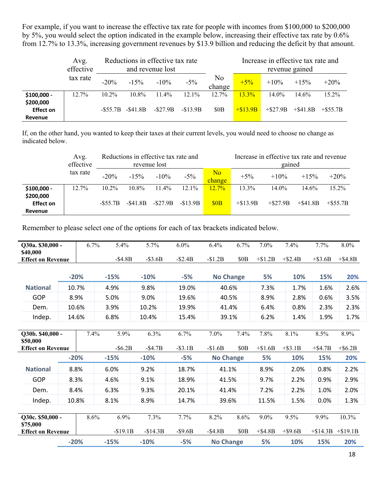For example, if you want to increase the effective tax rate for people with incomes from \$100,000 to \$200,000 by 5%, you would select the option indicated in the example below, increasing their effective tax rate by 0.6% from 12.7% to 13.3%, increasing government revenues by \$13.9 billion and reducing the deficit by that amount.

|                                          | Avg.<br>effective |           |           | Reductions in effective tax rate<br>and revenue lost |           | Increase in effective tax rate and<br>revenue gained |            |            |             |             |
|------------------------------------------|-------------------|-----------|-----------|------------------------------------------------------|-----------|------------------------------------------------------|------------|------------|-------------|-------------|
|                                          | tax rate          | $-20\%$   | $-1.5\%$  | $-10\%$                                              | $-5\%$    | No<br>change                                         | $+5%$      | $+10%$     | $+15%$      | $+20\%$     |
| \$100,000 -                              | $12.7\%$          | $10.2\%$  | $10.8\%$  | $11.4\%$                                             | $12.1\%$  | $12.7\%$                                             | 13.3%      | $14.0\%$   | 14.6%       | $15.2\%$    |
| \$200,000<br><b>Effect on</b><br>Revenue |                   | $-S55.7B$ | $-S41.8B$ | $-S27.9B$                                            | $-S13.9B$ | \$0B                                                 | $+\$13.9B$ | $+ $27.9B$ | $+$ \$41.8B | $+$ \$55.7B |

If, on the other hand, you wanted to keep their taxes at their current levels, you would need to choose no change as indicated below.

|                                          | Avg.<br>effective | Reductions in effective tax rate and<br>revenue lost |           |           |           |                          | Increase in effective tax rate and revenue<br>gained |            |             |             |  |  |
|------------------------------------------|-------------------|------------------------------------------------------|-----------|-----------|-----------|--------------------------|------------------------------------------------------|------------|-------------|-------------|--|--|
|                                          | tax rate          | $-20\%$                                              | $-15%$    | $-10\%$   | $-5\%$    | N <sub>o</sub><br>change | $+5\%$                                               | $+10\%$    | $+15%$      | $+20\%$     |  |  |
| $$100,000 -$                             | $12.7\%$          | $10.2\%$                                             | 10.8%     | $11.4\%$  | $12.1\%$  | $12.7\%$                 | 13.3%                                                | $14.0\%$   | 14.6%       | $15.2\%$    |  |  |
| \$200,000<br><b>Effect on</b><br>Revenue |                   | $-S55.7B$                                            | $-S41.8B$ | $-S27.9B$ | $-S13.9B$ | \$0B                     | $+ $13.9B$                                           | $+ $27.9B$ | $+$ \$41.8B | $+$ \$55.7B |  |  |

Remember to please select one of the options for each of tax brackets indicated below.

| Q30a. \$30,000 -                     |        | 6.7%   | 5.4%      | 5.7%      | 6.0%     | 6.4%             | 6.7%             | 7.0%       | 7.4%       | 7.7%        | 8.0%        |
|--------------------------------------|--------|--------|-----------|-----------|----------|------------------|------------------|------------|------------|-------------|-------------|
| \$40,000<br><b>Effect on Revenue</b> |        |        | $-S4.8B$  | $-S3.6B$  | $-S2.4B$ | $-\$1.2B$        | \$0 <sub>B</sub> | $+\$1.2B$  | $+ $2.4B$  | $+$ \$3.6B  | $+$ \$4.8B  |
|                                      |        | $-20%$ | $-15%$    | $-10%$    | $-5%$    | <b>No Change</b> |                  | 5%         | 10%        | 15%         | 20%         |
| <b>National</b>                      |        | 10.7%  | 4.9%      | 9.8%      | 19.0%    | 40.6%            |                  | 7.3%       | 1.7%       | 1.6%        | 2.6%        |
| <b>GOP</b>                           |        | 8.9%   | 5.0%      | 9.0%      | 19.6%    | 40.5%            |                  | 8.9%       | 2.8%       | 0.6%        | 3.5%        |
| Dem.                                 |        | 10.6%  | 3.9%      | 10.2%     | 19.9%    | 41.4%            |                  | 6.4%       | 0.8%       | 2.3%        | 2.3%        |
| Indep.                               |        | 14.6%  | 6.8%      | 10.4%     | 15.4%    | 39.1%            |                  | 6.2%       | 1.4%       | 1.9%        | 1.7%        |
|                                      |        |        |           |           |          |                  |                  |            |            |             |             |
| Q30b. \$40,000 -<br>\$50,000         |        | 7.4%   | 5.9%      | 6.3%      | 6.7%     | 7.0%             | 7.4%             | 7.8%       | 8.1%       | 8.5%        | 8.9%        |
| <b>Effect on Revenue</b>             |        |        | $-S6.2B$  | $-S4.7B$  | $-S3.1B$ | $-S1.6B$         | \$0 <sub>B</sub> | $+\$1.6B$  | $+$ \$3.1B | $+$ \$4.7B  | $+$ \$6.2B  |
|                                      |        | $-20%$ | $-15%$    | $-10%$    | $-5%$    | <b>No Change</b> |                  | 5%         | 10%        | 15%         | 20%         |
| <b>National</b>                      |        | 8.8%   | 6.0%      | 9.2%      | 18.7%    | 41.1%            |                  | 8.9%       | 2.0%       | 0.8%        | 2.2%        |
| <b>GOP</b>                           | 8.3%   |        | 4.6%      | 9.1%      | 18.9%    | 41.5%            |                  | 9.7%       | 2.2%       | 0.9%        | 2.9%        |
| Dem.                                 |        | 8.4%   | 6.3%      | 9.3%      | 20.1%    | 41.4%            |                  | 7.2%       | 2.2%       | 1.0%        | 2.0%        |
| Indep.                               |        | 10.8%  | 8.1%      | 8.9%      | 14.7%    | 39.6%            |                  | 11.5%      | 1.5%       | 0.0%        | 1.3%        |
|                                      |        |        |           |           |          |                  |                  |            |            |             |             |
| Q30c. \$50,000 -<br>\$75,000         |        | 8.6%   | 6.9%      | 7.3%      | 7.7%     | 8.2%             | 8.6%             | 9.0%       | 9.5%       | 9.9%        | 10.3%       |
| <b>Effect on Revenue</b>             |        |        | $-S19.1B$ | $-S14.3B$ | $-S9.6B$ | $-S4.8B$         | \$0 <sub>B</sub> | $+$ \$4.8B | $+$ \$9.6B | $+$ \$14.3B | $+$ \$19.1B |
|                                      | $-20%$ |        | $-15%$    | $-10%$    | $-5%$    | <b>No Change</b> |                  | 5%         | 10%        | 15%         | 20%         |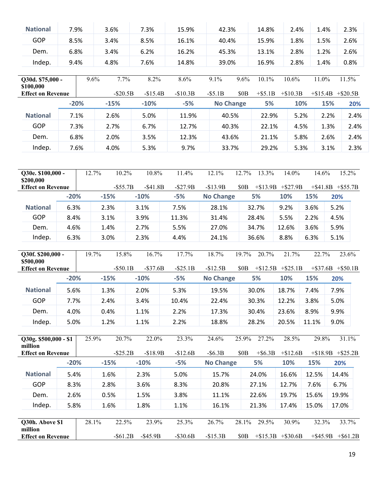| <b>National</b>                       | 7.9%   |       | 3.6%        | 7.3%        | 15.9%       | 42.3%            |                  | 14.8%                   | 2.4%       | 1.4%        |                         | 2.3%        |
|---------------------------------------|--------|-------|-------------|-------------|-------------|------------------|------------------|-------------------------|------------|-------------|-------------------------|-------------|
| <b>GOP</b>                            | 8.5%   |       | 3.4%        | 8.5%        | 16.1%       | 40.4%            |                  | 15.9%                   | 1.8%       | 1.5%        |                         | 2.6%        |
| Dem.                                  | 6.8%   |       | 3.4%        | 6.2%        | 16.2%       | 45.3%            |                  | 13.1%                   | 2.8%       | 1.2%        |                         | 2.6%        |
| Indep.                                | 9.4%   |       | 4.8%        | 7.6%        | 14.8%       | 39.0%            |                  | 16.9%                   | 2.8%       | 1.4%        |                         | 0.8%        |
| Q30d. \$75,000 -<br>\$100,000         |        | 9.6%  | 7.7%        | 8.2%        | 8.6%        | 9.1%             | 9.6%             | 10.1%                   | 10.6%      | 11.0%       |                         | 11.5%       |
| <b>Effect on Revenue</b>              |        |       | $-$ \$20.5B | $-$15.4B$   | $-S10.3B$   | $-$ \$5.1B       | \$0 <sub>B</sub> | $+$ \$5.1B              | $+\$10.3B$ |             | $+\$15.4B + \$20.5B$    |             |
|                                       | $-20%$ |       | $-15%$      | $-10%$      | $-5%$       | <b>No Change</b> |                  | 5%                      | 10%        |             | 15%                     | 20%         |
| <b>National</b>                       | 7.1%   |       | 2.6%        | 5.0%        | 11.9%       | 40.5%            |                  | 22.9%                   | 5.2%       |             | 2.2%                    | 2.4%        |
| <b>GOP</b>                            | 7.3%   |       | 2.7%        | 6.7%        | 12.7%       | 40.3%            |                  | 22.1%                   | 4.5%       |             | 1.3%                    | 2.4%        |
| Dem.                                  | 6.8%   |       | 2.0%        | 3.5%        | 12.3%       | 43.6%            |                  | 21.1%                   | 5.8%       |             | 2.6%                    | 2.4%        |
| Indep.                                | 7.6%   |       | 4.0%        | 5.3%        | 9.7%        | 33.7%            |                  | 29.2%                   | 5.3%       |             | 3.1%                    | 2.3%        |
|                                       |        |       |             |             |             |                  |                  |                         |            |             |                         |             |
| Q30e. \$100,000 -<br>\$200,000        |        | 12.7% | 10.2%       | 10.8%       | 11.4%       | 12.1%            | 12.7%            | 13.3%                   | 14.0%      | 14.6%       |                         | 15.2%       |
| <b>Effect on Revenue</b>              |        |       | $-$ \$55.7B | $-$ \$41.8B | $-S27.9B$   | $-$13.9B$        |                  | $$0B$ +\$13.9B +\$27.9B |            |             | $+$ \$41.8B $+$ \$55.7B |             |
|                                       | $-20%$ |       | $-15%$      | $-10%$      | $-5%$       | <b>No Change</b> |                  | 5%                      | 10%        | 15%         | 20%                     |             |
| <b>National</b>                       | 6.3%   |       | 2.3%        | 3.1%        | 7.5%        | 28.1%            |                  | 32.7%                   | 9.2%       | 3.6%        | 5.2%                    |             |
| <b>GOP</b>                            | 8.4%   |       | 3.1%        | 3.9%        | 11.3%       | 31.4%            |                  | 28.4%                   | 5.5%       | 2.2%        | 4.5%                    |             |
| Dem.                                  | 4.6%   |       | 1.4%        | 2.7%        | 5.5%        | 27.0%<br>34.7%   |                  | 12.6%                   | 3.6%       | 5.9%        |                         |             |
| Indep.                                | 6.3%   |       | 3.0%        | 2.3%        | 4.4%        | 24.1%            |                  | 36.6%                   | 8.8%       | 6.3%        | 5.1%                    |             |
| Q30f. \$200,000 -                     |        | 19.7% | 15.8%       | 16.7%       | 17.7%       | 18.7%            | 19.7%            | 20.7%                   | 21.7%      | 22.7%       |                         | 23.6%       |
| \$500,000<br><b>Effect on Revenue</b> |        |       | $-$ \$50.1B | $-$ \$37.6B | $-S25.1B$   | $-$12.5B$        | \$0B             | $+\$12.5B + \$25.1B$    |            |             | $+$ \$37.6B $+$ \$50.1B |             |
|                                       | $-20%$ |       | $-15%$      | $-10%$      | $-5%$       | <b>No Change</b> |                  | 5%                      | 10%        | 15%         | 20%                     |             |
| <b>National</b>                       | 5.6%   |       | 1.3%        | 2.0%        | 5.3%        | 19.5%            |                  | 30.0%                   | 18.7%      | 7.4%        | 7.9%                    |             |
| GOP                                   | 7.7%   |       | 2.4%        | 3.4%        | 10.4%       | 22.4%            |                  | 30.3%                   | 12.2%      | 3.8%        | 5.0%                    |             |
| Dem.                                  | 4.0%   |       | 0.4%        | 1.1%        | 2.2%        | 17.3%            |                  | 30.4%                   | 23.6%      | 8.9%        | 9.9%                    |             |
| Indep.                                | 5.0%   |       | 1.2%        | 1.1%        | 2.2%        | 18.8%            |                  | 28.2%                   | 20.5%      | 11.1%       | 9.0%                    |             |
|                                       |        |       |             |             |             |                  |                  |                         |            |             |                         |             |
| Q30g. \$500,000 - \$1                 |        | 25.9% | 20.7%       | 22.0%       | 23.3%       | 24.6%            | 25.9%            | 27.2%                   | 28.5%      | 29.8%       |                         | 31.1%       |
| million<br><b>Effect on Revenue</b>   |        |       | $-S25.2B$   | $-$18.9B$   | $-$12.6B$   | $-$ \$6.3B       | \$0 <sub>B</sub> | $+$ \$6.3B              | $+ $12.6B$ |             | $+\$18.9B + \$25.2B$    |             |
|                                       | $-20%$ |       | $-15%$      | $-10%$      | $-5%$       | <b>No Change</b> |                  | 5%                      | 10%        | 15%         | 20%                     |             |
| <b>National</b>                       | 5.4%   |       | 1.6%        | 2.3%        | 5.0%        | 15.7%            |                  | 24.0%                   | 16.6%      | 12.5%       | 14.4%                   |             |
| <b>GOP</b>                            | 8.3%   |       | 2.8%        | 3.6%        | 8.3%        | 20.8%            |                  | 27.1%                   | 12.7%      | 7.6%        | 6.7%                    |             |
| Dem.                                  | 2.6%   |       | 0.5%        | 1.5%        | 3.8%        | 11.1%            |                  | 22.6%                   | 19.7%      | 15.6%       | 19.9%                   |             |
| Indep.                                | 5.8%   |       | 1.6%        | 1.8%        | 1.1%        | 16.1%            |                  | 21.3%                   | 17.4%      | 15.0%       | 17.0%                   |             |
|                                       |        |       |             |             |             |                  |                  |                         |            |             |                         |             |
| Q30h. Above \$1<br>million            |        | 28.1% | 22.5%       | 23.9%       | 25.3%       | 26.7%            | 28.1%            | 29.5%                   | 30.9%      | 32.3%       |                         | 33.7%       |
| <b>Effect on Revenue</b>              |        |       | $-$ \$61.2B | $-$ \$45.9B | $-$ \$30.6B | $-S15.3B$        | \$0 <sub>B</sub> | $+\$15.3B +\$30.6B$     |            | $+$ \$45.9B |                         | $+$ \$61.2B |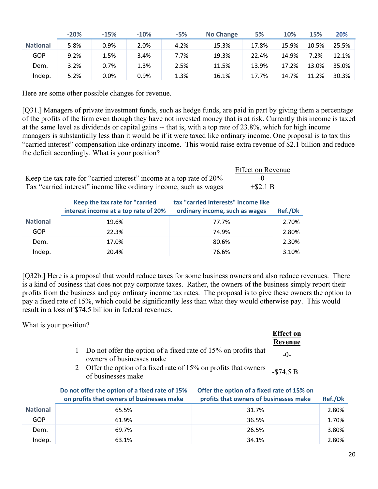|                 | $-20%$ | $-15%$  | $-10%$ | $-5%$ | <b>No Change</b> | 5%    | 10%   | 15%   | 20%   |
|-----------------|--------|---------|--------|-------|------------------|-------|-------|-------|-------|
| <b>National</b> | 5.8%   | 0.9%    | 2.0%   | 4.2%  | 15.3%            | 17.8% | 15.9% | 10.5% | 25.5% |
| GOP             | 9.2%   | 1.5%    | 3.4%   | 7.7%  | 19.3%            | 22.4% | 14.9% | 7.2%  | 12.1% |
| Dem.            | 3.2%   | 0.7%    | 1.3%   | 2.5%  | 11.5%            | 13.9% | 17.2% | 13.0% | 35.0% |
| Indep.          | 5.2%   | $0.0\%$ | 0.9%   | 1.3%  | 16.1%            | 17.7% | 14.7% | 11.2% | 30.3% |

Here are some other possible changes for revenue.

[Q31.] Managers of private investment funds, such as hedge funds, are paid in part by giving them a percentage of the profits of the firm even though they have not invested money that is at risk. Currently this income is taxed at the same level as dividends or capital gains -- that is, with a top rate of 23.8%, which for high income managers is substantially less than it would be if it were taxed like ordinary income. One proposal is to tax this "carried interest" compensation like ordinary income. This would raise extra revenue of \$2.1 billion and reduce the deficit accordingly. What is your position?

|                                                                      | <b>Effect on Revenue</b> |
|----------------------------------------------------------------------|--------------------------|
| Keep the tax rate for "carried interest" income at a top rate of 20% |                          |
| Tax "carried interest" income like ordinary income, such as wages    | $+$ \$2.1 B              |

|                 | Keep the tax rate for "carried<br>interest income at a top rate of 20% | tax "carried interests" income like<br>ordinary income, such as wages | Ref./Dk |  |
|-----------------|------------------------------------------------------------------------|-----------------------------------------------------------------------|---------|--|
| <b>National</b> | 19.6%                                                                  | 77.7%                                                                 | 2.70%   |  |
| GOP             | 22.3%                                                                  | 74.9%                                                                 | 2.80%   |  |
| Dem.            | 17.0%                                                                  | 80.6%                                                                 | 2.30%   |  |
| Indep.          | 20.4%                                                                  | 76.6%                                                                 | 3.10%   |  |

[Q32b.] Here is a proposal that would reduce taxes for some business owners and also reduce revenues. There is a kind of business that does not pay corporate taxes. Rather, the owners of the business simply report their profits from the business and pay ordinary income tax rates. The proposal is to give these owners the option to pay a fixed rate of 15%, which could be significantly less than what they would otherwise pay. This would result in a loss of \$74.5 billion in federal revenues.

What is your position?

|                                                                                             | <b>Effect</b> on |
|---------------------------------------------------------------------------------------------|------------------|
|                                                                                             | Revenue          |
| Do not offer the option of a fixed rate of 15% on profits that<br>owners of businesses make | $-0-$            |
| Offer the option of a fixed rate of 15% on profits that owners<br>of businesses make        | $-\$74.5 B$      |

|                 | Do not offer the option of a fixed rate of 15%<br>on profits that owners of businesses make | Offer the option of a fixed rate of 15% on<br>profits that owners of businesses make | <b>Ref./Dk</b> |
|-----------------|---------------------------------------------------------------------------------------------|--------------------------------------------------------------------------------------|----------------|
| <b>National</b> | 65.5%                                                                                       | 31.7%                                                                                | 2.80%          |
| GOP             | 61.9%                                                                                       | 36.5%                                                                                | 1.70%          |
| Dem.            | 69.7%                                                                                       | 26.5%                                                                                | 3.80%          |
| Indep.          | 63.1%                                                                                       | 34.1%                                                                                | 2.80%          |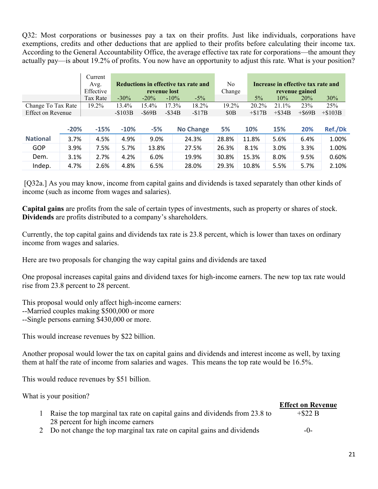Q32: Most corporations or businesses pay a tax on their profits. Just like individuals, corporations have exemptions, credits and other deductions that are applied to their profits before calculating their income tax. According to the General Accountability Office, the average effective tax rate for corporations—the amount they actually pay—is about 19.2% of profits. You now have an opportunity to adjust this rate. What is your position?

|                          |        | Current   |          |              |           |                                      |          |        |          |                                    |                |           |
|--------------------------|--------|-----------|----------|--------------|-----------|--------------------------------------|----------|--------|----------|------------------------------------|----------------|-----------|
|                          |        | Avg.      |          |              |           | Reductions in effective tax rate and |          | No.    |          | Increase in effective tax rate and |                |           |
|                          |        | Effective |          | revenue lost |           |                                      |          | Change |          |                                    | revenue gained |           |
|                          |        | Tax Rate  | $-30\%$  | $-20\%$      | $-10\%$   |                                      | $-5\%$   |        | $5\%$    | 10%                                | 20%            | 30%       |
| Change To Tax Rate       |        | 19.2%     | 13.4%    | 15.4%        | $17.3\%$  |                                      | 18.2%    | 19.2%  | 20.2%    | $21.1\%$                           | 23%            | 25%       |
| <b>Effect on Revenue</b> |        |           | $-S103B$ | $-S69B$      | $-$ \$34B |                                      | $-\$17B$ | \$0B   | $+\$17B$ | $+$ \$34B                          | $+$ \$69B      | $+\$103B$ |
|                          |        |           |          |              |           |                                      |          |        |          |                                    |                |           |
|                          | $-20%$ | $-15%$    | $-10%$   | $-5%$        |           | <b>No Change</b>                     |          | 5%     | 10%      | 15%                                | 20%            | Ref./Dk   |
| <b>National</b>          | 3.7%   | 4.5%      | 4.9%     | 9.0%         |           | 24.3%                                |          | 28.8%  | 11.8%    | 5.6%                               | 6.4%           | 1.00%     |
| <b>GOP</b>               | 3.9%   | 7.5%      | 5.7%     | 13.8%        |           | 27.5%                                |          | 26.3%  | 8.1%     | 3.0%                               | 3.3%           | 1.00%     |
| Dem.                     | 3.1%   | 2.7%      | 4.2%     | 6.0%         |           | 19.9%                                |          | 30.8%  | 15.3%    | 8.0%                               | 9.5%           | 0.60%     |
| Indep.                   | 4.7%   | 2.6%      | 4.8%     | 6.5%         |           | 28.0%                                |          | 29.3%  | 10.8%    | 5.5%                               | 5.7%           | 2.10%     |

[Q32a.] As you may know, income from capital gains and dividends is taxed separately than other kinds of income (such as income from wages and salaries).

**Capital gains** are profits from the sale of certain types of investments, such as property or shares of stock. **Dividends** are profits distributed to a company's shareholders.

Currently, the top capital gains and dividends tax rate is 23.8 percent, which is lower than taxes on ordinary income from wages and salaries.

Here are two proposals for changing the way capital gains and dividends are taxed

One proposal increases capital gains and dividend taxes for high-income earners. The new top tax rate would rise from 23.8 percent to 28 percent.

This proposal would only affect high-income earners:

- --Married couples making \$500,000 or more
- --Single persons earning \$430,000 or more.

This would increase revenues by \$22 billion.

Another proposal would lower the tax on capital gains and dividends and interest income as well, by taxing them at half the rate of income from salaries and wages. This means the top rate would be 16.5%.

This would reduce revenues by \$51 billion.

What is your position?

|                                                                             | <b>Effect on Revenue</b> |
|-----------------------------------------------------------------------------|--------------------------|
| Raise the top marginal tax rate on capital gains and dividends from 23.8 to | $+$ \$22 B               |
| 28 percent for high income earners                                          |                          |
| 2 Do not change the top marginal tax rate on capital gains and dividends    | $-()$ -                  |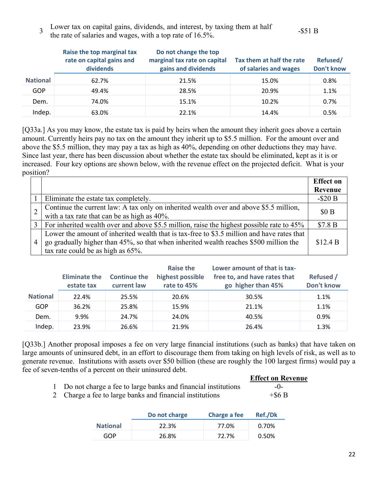3 Lower tax on capital gains, dividends, and interest, by taxing them at half Ebwer tax on capital gains, dividends, and interest, by taxing them at half  $\sim$  -\$51 B the rate of salaries and wages, with a top rate of 16.5%.

|                 | Raise the top marginal tax<br>rate on capital gains and<br>dividends | Do not change the top<br>marginal tax rate on capital<br>gains and dividends | Tax them at half the rate<br>of salaries and wages | Refused/<br><b>Don't know</b> |
|-----------------|----------------------------------------------------------------------|------------------------------------------------------------------------------|----------------------------------------------------|-------------------------------|
| <b>National</b> | 62.7%                                                                | 21.5%                                                                        | 15.0%                                              | 0.8%                          |
| GOP             | 49.4%                                                                | 28.5%                                                                        | 20.9%                                              | 1.1%                          |
| Dem.            | 74.0%                                                                | 15.1%                                                                        | 10.2%                                              | 0.7%                          |
| Indep.          | 63.0%                                                                | 22.1%                                                                        | 14.4%                                              | 0.5%                          |

[Q33a.] As you may know, the estate tax is paid by heirs when the amount they inherit goes above a certain amount. Currently heirs pay no tax on the amount they inherit up to \$5.5 million. For the amount over and above the \$5.5 million, they may pay a tax as high as 40%, depending on other deductions they may have. Since last year, there has been discussion about whether the estate tax should be eliminated, kept as it is or increased. Four key options are shown below, with the revenue effect on the projected deficit. What is your position?

|                |                                                                                                                                                                                                                          | <b>Effect</b> on |
|----------------|--------------------------------------------------------------------------------------------------------------------------------------------------------------------------------------------------------------------------|------------------|
|                |                                                                                                                                                                                                                          | Revenue          |
|                | Eliminate the estate tax completely.                                                                                                                                                                                     | $-$ \$20 B       |
|                | Continue the current law: A tax only on inherited wealth over and above \$5.5 million,<br>with a tax rate that can be as high as 40%.                                                                                    | \$0B             |
| $\mathbf{3}$   | For inherited wealth over and above \$5.5 million, raise the highest possible rate to 45%                                                                                                                                | \$7.8 B          |
| $\overline{4}$ | Lower the amount of inherited wealth that is tax-free to \$3.5 million and have rates that<br>go gradually higher than 45%, so that when inherited wealth reaches \$500 million the<br>tax rate could be as high as 65%. | \$12.4 B         |

|                 | <b>Eliminate the</b><br>estate tax | <b>Continue the</b><br>current law | Raise the<br>highest possible<br>rate to 45% | Lower amount of that is tax-<br>free to, and have rates that<br>go higher than 45% | Refused /<br>Don't know |
|-----------------|------------------------------------|------------------------------------|----------------------------------------------|------------------------------------------------------------------------------------|-------------------------|
| <b>National</b> | 22.4%                              | 25.5%                              | 20.6%                                        | 30.5%                                                                              | 1.1%                    |
| GOP             | 36.2%                              | 25.8%                              | 15.9%                                        | 21.1%                                                                              | 1.1%                    |
| Dem.            | 9.9%                               | 24.7%                              | 24.0%                                        | 40.5%                                                                              | $0.9\%$                 |
| Indep.          | 23.9%                              | 26.6%                              | 21.9%                                        | 26.4%                                                                              | 1.3%                    |

[Q33b.] Another proposal imposes a fee on very large financial institutions (such as banks) that have taken on large amounts of uninsured debt, in an effort to discourage them from taking on high levels of risk, as well as to generate revenue. Institutions with assets over \$50 billion (these are roughly the 100 largest firms) would pay a fee of seven-tenths of a percent on their uninsured debt.

|                                                                 | <b>Effect on Revenue</b> |
|-----------------------------------------------------------------|--------------------------|
| 1 Do not charge a fee to large banks and financial institutions | $-0-$                    |

2 Charge a fee to large banks and financial institutions  $+$  \$6 B

|                 | Do not charge | Charge a fee | Ref./Dk |  |
|-----------------|---------------|--------------|---------|--|
| <b>National</b> | 22.3%         | 77.0%        | 0.70%   |  |
| GOP             | 26.8%         | 72.7%        | 0.50%   |  |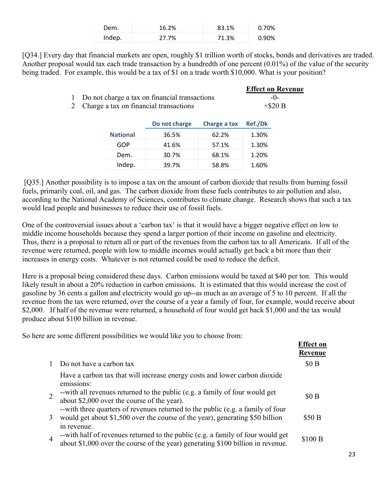| Dem.   | 16.2% | 83.1% | 0.70% |
|--------|-------|-------|-------|
| Indep. | 27.7% | 71.3% | 0.90% |

[Q34.] Every day that financial markets are open, roughly \$1 trillion worth of stocks, bonds and derivatives are traded. Another proposal would tax each trade transaction by a hundredth of one percent (0.01%) of the value of the security being traded. For example, this would be a tax of \$1 on a trade worth \$10,000. What is your position?

|                                                 | <b>Effect on Revenue</b> |
|-------------------------------------------------|--------------------------|
| 1 Do not charge a tax on financial transactions | $-()$                    |
| 2 Charge a tax on financial transactions        | $+$ \$20 B               |

|                 | Do not charge | Charge a tax | Ref./Dk |  |
|-----------------|---------------|--------------|---------|--|
| <b>National</b> | 36.5%         | 62.2%        | 1.30%   |  |
| GOP             | 41.6%         | 57.1%        | 1.30%   |  |
| Dem.            | 30.7%         | 68.1%        | 1.20%   |  |
| Indep.          | 39.7%         | 58.8%        | 1.60%   |  |

 [Q35.] Another possibility is to impose a tax on the amount of carbon dioxide that results from burning fossil fuels, primarily coal, oil, and gas. The carbon dioxide from these fuels contributes to air pollution and also, according to the National Academy of Sciences, contributes to climate change. Research shows that such a tax would lead people and businesses to reduce their use of fossil fuels.

One of the controversial issues about a 'carbon tax' is that it would have a bigger negative effect on low to middle income households because they spend a larger portion of their income on gasoline and electricity. Thus, there is a proposal to return all or part of the revenues from the carbon tax to all Americans. If all of the revenue were returned, people with low to middle incomes would actually get back a bit more than their increases in energy costs. Whatever is not returned could be used to reduce the deficit.

Here is a proposal being considered these days. Carbon emissions would be taxed at \$40 per ton. This would likely result in about a 20% reduction in carbon emissions. It is estimated that this would increase the cost of gasoline by 36 cents a gallon and electricity would go up--as much as an average of 5 to 10 percent. If all the revenue from the tax were returned, over the course of a year a family of four, for example, would receive about \$2,000. If half of the revenue were returned, a household of four would get back \$1,000 and the tax would produce about \$100 billion in revenue.

So here are some different possibilities we would like you to choose from:

|                |                                                                                                                                                                                   | <b>Effect on</b><br>Revenue |
|----------------|-----------------------------------------------------------------------------------------------------------------------------------------------------------------------------------|-----------------------------|
|                | Do not have a carbon tax                                                                                                                                                          | \$0B                        |
|                | Have a carbon tax that will increase energy costs and lower carbon dioxide<br>emissions:                                                                                          |                             |
|                | --with all revenues returned to the public (e.g. a family of four would get<br>about \$2,000 over the course of the year).                                                        | \$0B                        |
| 3              | --with three quarters of revenues returned to the public (e.g. a family of four<br>would get about \$1,500 over the course of the year), generating \$50 billion                  | \$50 B                      |
| $\overline{4}$ | in revenue.<br>--with half of revenues returned to the public (e.g. a family of four would get<br>about \$1,000 over the course of the year) generating \$100 billion in revenue. | \$100 B                     |